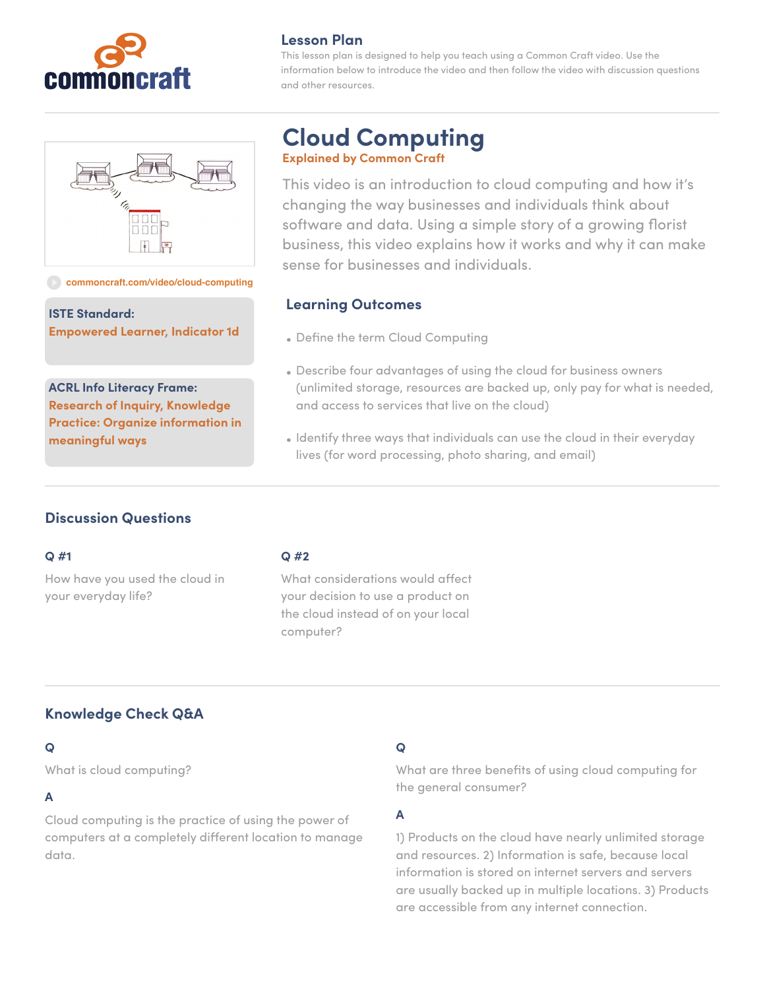



#### **[commoncraft.com/video/cloud-computing](http://commoncraft.com/video/cloud-computing)**

**ISTE Standard: Empowered Learner, Indicator 1d**

**ACRL Info Literacy Frame: Research of Inquiry, Knowledge Practice: Organize information in meaningful ways**

#### **Lesson Plan**

This lesson plan is designed to help you teach using a Common Craft video. Use the information below to introduce the video and then follow the video with discussion questions and other resources.

# **Cloud Computing Explained by Common Craft**

This video is an introduction to cloud computing and how it's changing the way businesses and individuals think about software and data. Using a simple story of a growing florist business, this video explains how it works and why it can make sense for businesses and individuals.

#### **Learning Outcomes**

- Define the term Cloud Computing
- Describe four advantages of using the cloud for business owners (unlimited storage, resources are backed up, only pay for what is needed, and access to services that live on the cloud)
- Identify three ways that individuals can use the cloud in their everyday lives (for word processing, photo sharing, and email)

# **Discussion Questions**

#### **Q #1**

How have you used the cloud in your everyday life?

#### **Q #2**

What considerations would affect your decision to use a product on the cloud instead of on your local computer?

# **Knowledge Check Q&A**

#### **Q**

What is cloud computing?

### **A**

Cloud computing is the practice of using the power of computers at a completely different location to manage data.

# **Q**

What are three benefits of using cloud computing for the general consumer?

# **A**

1) Products on the cloud have nearly unlimited storage and resources. 2) Information is safe, because local information is stored on internet servers and servers are usually backed up in multiple locations. 3) Products are accessible from any internet connection.